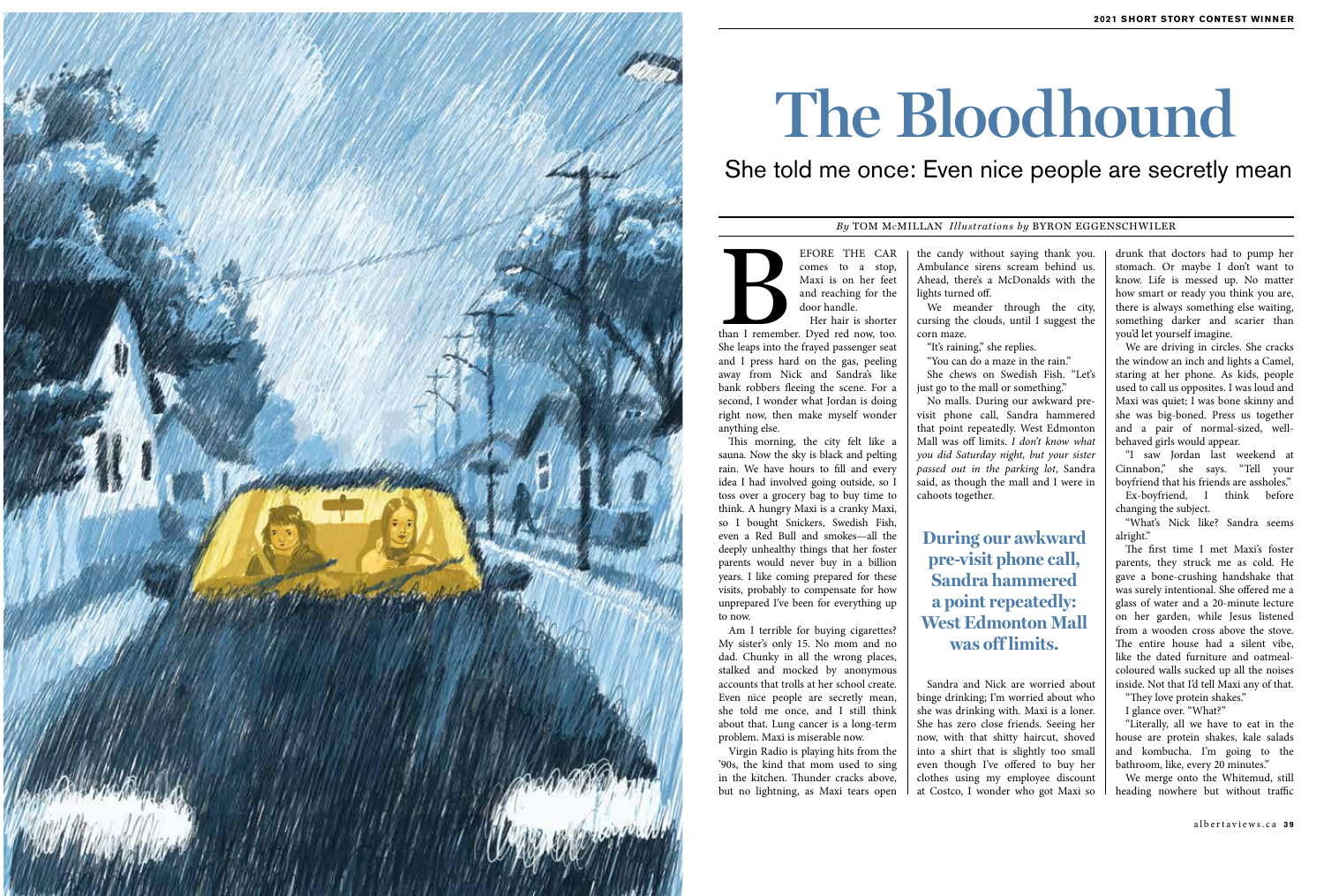EFORE THE CAR<br>
comes to a stop,<br>
Maxi is on her feet<br>
and reaching for the<br>
door handle.<br>
Her hair is shorter<br>
than I remember. Dyed red now, too.<br>
Shalong into the found nonegament and comes to a stop, Maxi is on her feet and reaching for the door handle.

Her hair is shorter She leaps into the frayed passenger seat and I press hard on the gas, peeling away from Nick and Sandra's like bank robbers fleeing the scene. For a second, I wonder what Jordan is doing right now, then make myself wonder anything else.

This morning, the city felt like a sauna. Now the sky is black and pelting rain. We have hours to fill and every idea I had involved going outside, so I toss over a grocery bag to buy time to think. A hungry Maxi is a cranky Maxi, so I bought Snickers, Swedish Fish, even a Red Bull and smokes—all the deeply unhealthy things that her foster parents would never buy in a billion years. I like coming prepared for these visits, probably to compensate for how unprepared I've been for everything up to now.

Am I terrible for buying cigarettes? My sister's only 15. No mom and no dad. Chunky in all the wrong places, stalked and mocked by anonymous accounts that trolls at her school create. Even nice people are secretly mean, she told me once, and I still think about that. Lung cancer is a long-term problem. Maxi is miserable now.

Virgin Radio is playing hits from the '90s, the kind that mom used to sing in the kitchen. Thunder cracks above, but no lightning, as Maxi tears open

the candy without saying thank you. Ambulance sirens scream behind us. Ahead, there's a McDonalds with the lights turned off.

We meander through the city, cursing the clouds, until I suggest the corn maze.

"It's raining," she replies. "You can do a maze in the rain."

She chews on Swedish Fish. "Let's just go to the mall or something."

No malls. During our awkward previsit phone call, Sandra hammered that point repeatedly. West Edmonton Mall was off limits. *I don't know what you did Saturday night, but your sister passed out in the parking lot*, Sandra said, as though the mall and I were in cahoots together.

Sandra and Nick are worried about binge drinking; I'm worried about who she was drinking with. Maxi is a loner. She has zero close friends. Seeing her now, with that shitty haircut, shoved into a shirt that is slightly too small even though I've offered to buy her clothes using my employee discount at Costco, I wonder who got Maxi so

drunk that doctors had to pump her stomach. Or maybe I don't want to know. Life is messed up. No matter how smart or ready you think you are, there is always something else waiting, something darker and scarier than you'd let yourself imagine.

We are driving in circles. She cracks the window an inch and lights a Camel, staring at her phone. As kids, people used to call us opposites. I was loud and Maxi was quiet; I was bone skinny and she was big-boned. Press us together and a pair of normal-sized, wellbehaved girls would appear.

"I saw Jordan last weekend at Cinnabon," she says. "Tell your boyfriend that his friends are assholes."

Ex-boyfriend, I think before changing the subject.

"What's Nick like? Sandra seems alright."

The first time I met Maxi's foster parents, they struck me as cold. He gave a bone-crushing handshake that was surely intentional. She offered me a glass of water and a 20-minute lecture on her garden, while Jesus listened from a wooden cross above the stove. The entire house had a silent vibe, like the dated furniture and oatmealcoloured walls sucked up all the noises inside. Not that I'd tell Maxi any of that.

"They love protein shakes."

I glance over. "What?"

"Literally, all we have to eat in the house are protein shakes, kale salads and kombucha. I'm going to the bathroom, like, every 20 minutes."

We merge onto the Whitemud, still heading nowhere but without traffic



# **The Bloodhound**

## She told me once: Even nice people are secretly mean

#### *By* TOM McMILLAN *Illustrations by* BYRON EGGENSCHWILER

## **During our awkward pre-visit phone call, Sandra hammered a point repeatedly: West Edmonton Mall was off limits.**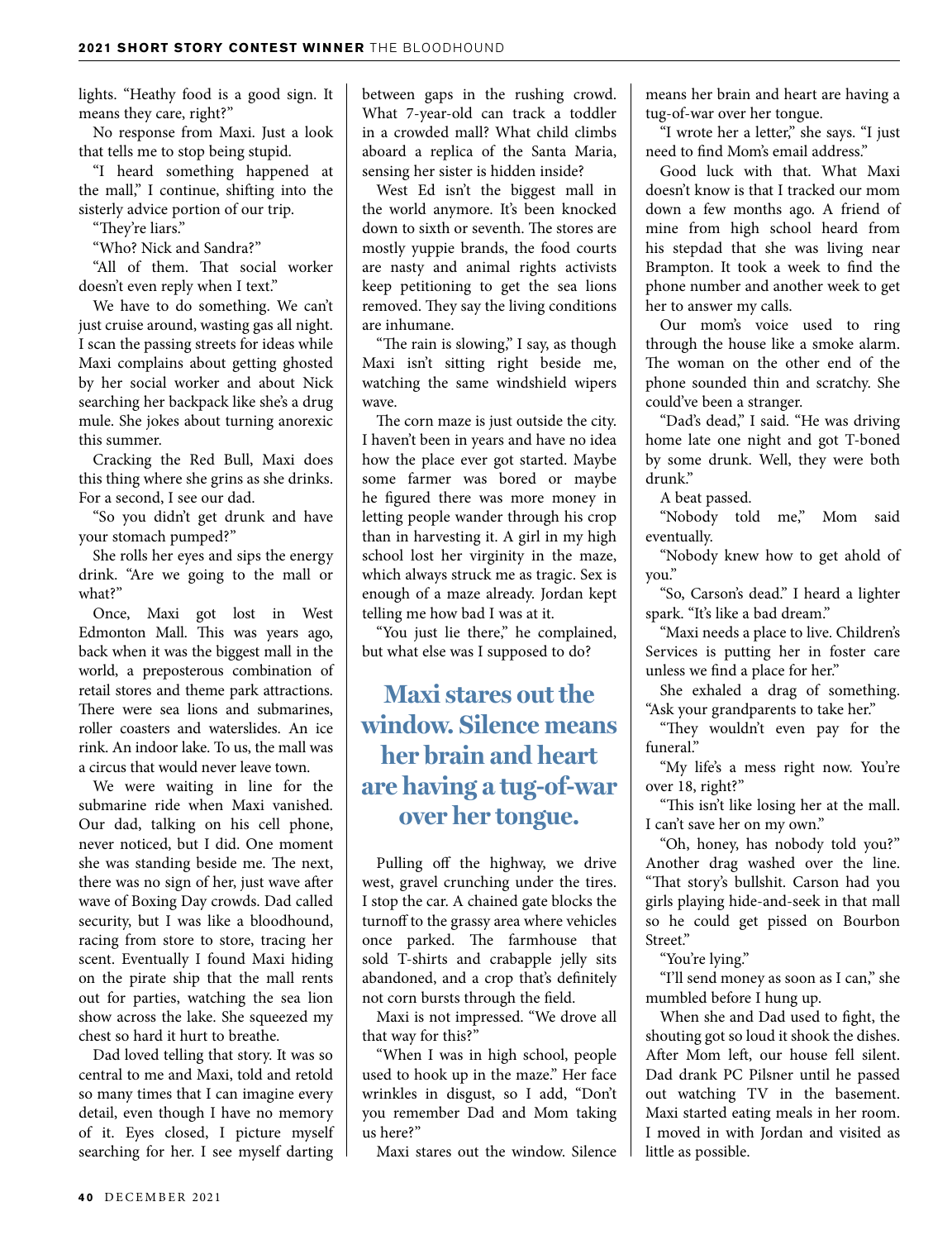lights. "Heathy food is a good sign. It means they care, right?"

No response from Maxi. Just a look that tells me to stop being stupid.

"I heard something happened at the mall," I continue, shifting into the sisterly advice portion of our trip.

"They're liars."

"Who? Nick and Sandra?"

"All of them. That social worker doesn't even reply when I text."

We have to do something. We can't just cruise around, wasting gas all night. I scan the passing streets for ideas while Maxi complains about getting ghosted by her social worker and about Nick searching her backpack like she's a drug mule. She jokes about turning anorexic this summer.

Cracking the Red Bull, Maxi does this thing where she grins as she drinks. For a second, I see our dad.

"So you didn't get drunk and have your stomach pumped?"

She rolls her eyes and sips the energy drink. "Are we going to the mall or what?"

Once, Maxi got lost in West Edmonton Mall. This was years ago, back when it was the biggest mall in the world, a preposterous combination of retail stores and theme park attractions. There were sea lions and submarines, roller coasters and waterslides. An ice rink. An indoor lake. To us, the mall was a circus that would never leave town.

We were waiting in line for the submarine ride when Maxi vanished. Our dad, talking on his cell phone, never noticed, but I did. One moment she was standing beside me. The next, there was no sign of her, just wave after wave of Boxing Day crowds. Dad called security, but I was like a bloodhound, racing from store to store, tracing her scent. Eventually I found Maxi hiding on the pirate ship that the mall rents out for parties, watching the sea lion show across the lake. She squeezed my chest so hard it hurt to breathe.

Dad loved telling that story. It was so central to me and Maxi, told and retold so many times that I can imagine every detail, even though I have no memory of it. Eyes closed, I picture myself searching for her. I see myself darting between gaps in the rushing crowd. What 7-year-old can track a toddler in a crowded mall? What child climbs aboard a replica of the Santa Maria, sensing her sister is hidden inside?

West Ed isn't the biggest mall in the world anymore. It's been knocked down to sixth or seventh. The stores are mostly yuppie brands, the food courts are nasty and animal rights activists keep petitioning to get the sea lions removed. They say the living conditions are inhumane.

"The rain is slowing," I say, as though Maxi isn't sitting right beside me, watching the same windshield wipers wave.

The corn maze is just outside the city. I haven't been in years and have no idea how the place ever got started. Maybe some farmer was bored or maybe he figured there was more money in letting people wander through his crop than in harvesting it. A girl in my high school lost her virginity in the maze, which always struck me as tragic. Sex is enough of a maze already. Jordan kept telling me how bad I was at it.

"You just lie there," he complained, but what else was I supposed to do?

### **Maxi stares out the window. Silence means her brain and heart are having a tug-of-war over her tongue.**

Pulling off the highway, we drive west, gravel crunching under the tires. I stop the car. A chained gate blocks the turnoff to the grassy area where vehicles once parked. The farmhouse that sold T-shirts and crabapple jelly sits abandoned, and a crop that's definitely not corn bursts through the field.

Maxi is not impressed. "We drove all that way for this?"

"When I was in high school, people used to hook up in the maze." Her face wrinkles in disgust, so I add, "Don't you remember Dad and Mom taking us here?"

Maxi stares out the window. Silence

means her brain and heart are having a tug-of-war over her tongue.

"I wrote her a letter," she says. "I just need to find Mom's email address."

Good luck with that. What Maxi doesn't know is that I tracked our mom down a few months ago. A friend of mine from high school heard from his stepdad that she was living near Brampton. It took a week to find the phone number and another week to get her to answer my calls.

Our mom's voice used to ring through the house like a smoke alarm. The woman on the other end of the phone sounded thin and scratchy. She could've been a stranger.

"Dad's dead," I said. "He was driving home late one night and got T-boned by some drunk. Well, they were both drunk."

A beat passed.

"Nobody told me," Mom said eventually.

"Nobody knew how to get ahold of you."

"So, Carson's dead." I heard a lighter spark. "It's like a bad dream."

"Maxi needs a place to live. Children's Services is putting her in foster care unless we find a place for her."

She exhaled a drag of something. "Ask your grandparents to take her."

"They wouldn't even pay for the funeral."

"My life's a mess right now. You're over 18, right?"

"This isn't like losing her at the mall. I can't save her on my own."

"Oh, honey, has nobody told you?" Another drag washed over the line. "That story's bullshit. Carson had you girls playing hide-and-seek in that mall so he could get pissed on Bourbon Street."

"You're lying."

"I'll send money as soon as I can," she mumbled before I hung up.

When she and Dad used to fight, the shouting got so loud it shook the dishes. After Mom left, our house fell silent. Dad drank PC Pilsner until he passed out watching TV in the basement. Maxi started eating meals in her room. I moved in with Jordan and visited as little as possible.